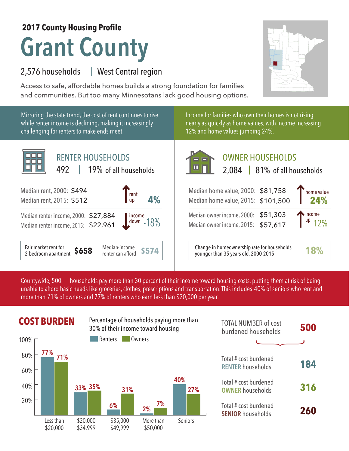## **Grant County 2017 County Housing Profile**

## 2,576 households West Central region |

Access to safe, affordable homes builds a strong foundation for families and communities. But too many Minnesotans lack good housing options.

Mirroring the state trend, the cost of rent continues to rise Income for families who own their homes is not rising while renter income is declining, making it increasingly nearly as quickly as home values, with income increasing challenging for renters to make ends meet. 12% and home values jumping 24%. ПF RENTER HOUSEHOLDS г 2,084 | 81% of all households of all households 492 | 19% of all households Median rent, 2000: \$494 Median home value, 2000:  $\frac{r_{\text{ent}}}{\text{up}}$  **4%** Median rent, 2015: \$512 up Median home value, 2015: Median renter income, 2000: \$27,884 income Median owner income, 2000: -18% down Median owner income, 2015: Median renter income, 2015: \$22,961

households pay more than 30 percent of their income toward housing costs, putting them at risk of being unable to afford basic needs like groceries, clothes, prescriptions and transportation. This includes 40% of seniors who rent and more than 71% of owners and 77% of renters who earn less than \$20,000 per year. Countywide, 500

Fair market rent for

Fair market rent for **\$658** Median-income 2-bedroom apartment **\$658** menter can afford



| <b>TOTAL NUMBER of cost</b><br>burdened households | 500 |
|----------------------------------------------------|-----|
|                                                    |     |
| Total # cost burdened<br><b>RENTER households</b>  | 184 |
| Total # cost burdened<br><b>OWNER households</b>   | 316 |
| Total # cost burdened<br><b>SENIOR households</b>  | 260 |

## OWNER HOUSEHOLDS

| rent<br>4%<br>up                                   | Median home value, 2000: \$81,758<br>Median home value, 2015: \$101,500             | home value<br>24%     |
|----------------------------------------------------|-------------------------------------------------------------------------------------|-----------------------|
| 884<br>961<br>income<br>18%                        | Median owner income, 2000: \$51,303<br>Median owner income, 2015: \$57,617          | $T^{income}_{up}$ 12% |
| Median-income<br><b>\$574</b><br>renter can afford | Change in homeownership rate for households<br>younger than 35 years old, 2000-2015 | 18%                   |